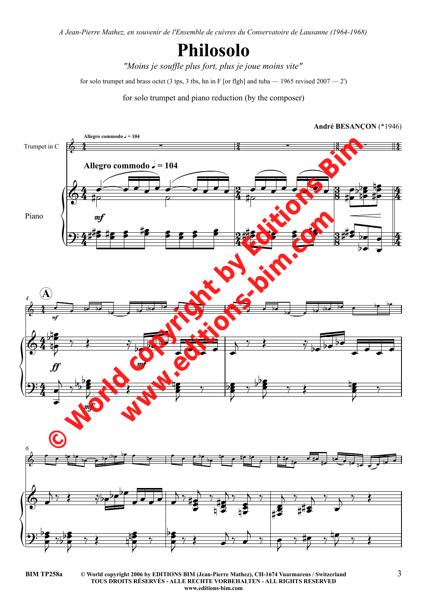*A Jean-Pierre Mathez, en souvenir de l'Ensemble de cuivres du Conservatoire de Lausanne (1964-1968)*

## **Philosolo**

*"Moins je souffle plus fort, plus je joue moins vite"*

for solo trumpet and brass octet (3 tps, 3 tbs, hn in F [or flgh] and tuba — 1965 revised 2007 — 2')

for solo trumpet and piano reduction (by the composer)



**<sup>©</sup> World copyright 2006 by EDITIONS BIM (Jean-Pierre Mathez), CH-1674 Vuarmarens / Switzerland BIM TP258a** 3 **TOUS DROITS RÉSERVÉS - ALLE RECHTE VORBEHALTEN - ALL RIGHTS RESERVED www.editions-bim.com**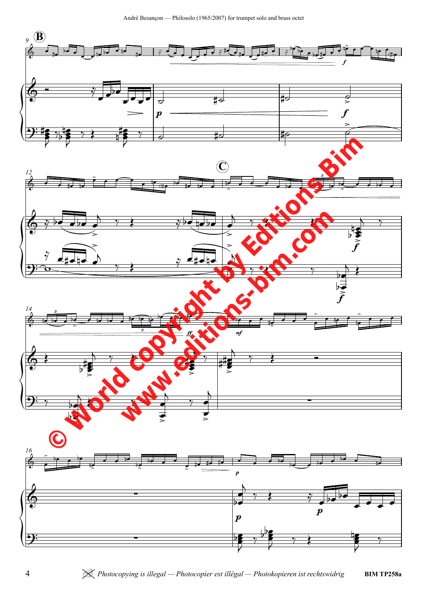André Besançon — Philosolo (1965/2007) for trumpet solo and brass octet

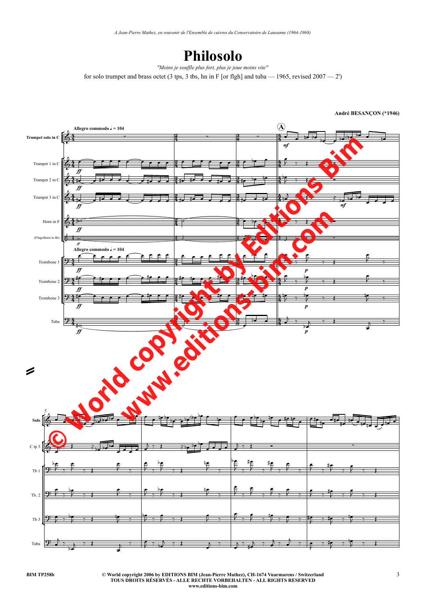*A Jean-Pierre Mathez, en souvenir de l'Ensemble de cuivres du Conservatoire de Lausanne (1964-1968)*

## **Philosolo**

for solo trumpet and brass octet (3 tps, 3 tbs, hn in F [or flgh] and tuba  $-$  1965, revised 2007  $-$  2') *"Moins je souffle plus fort, plus je joue moins vite"*

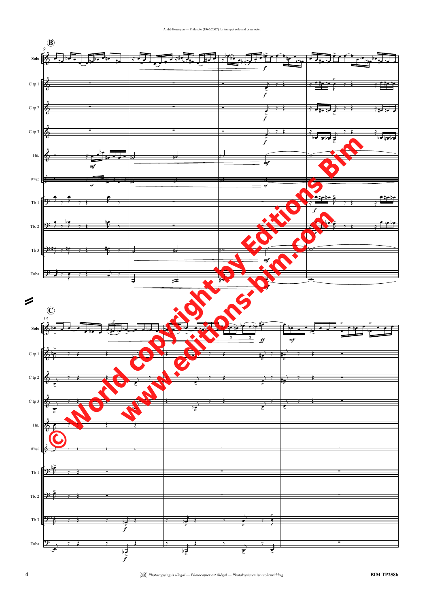